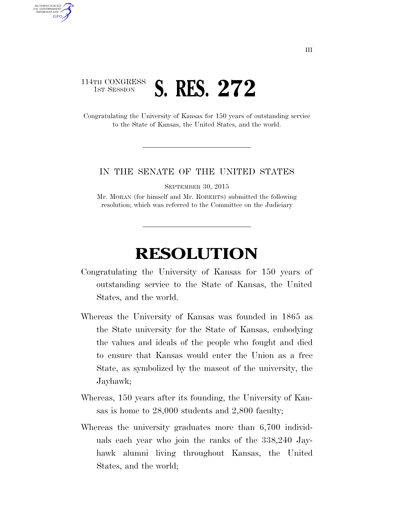## 114TH CONGRESS **1ST SESSION S. RES. 272**

AUTHENTICATED U.S. GOVERNMENT **GPO** 

> Congratulating the University of Kansas for 150 years of outstanding service to the State of Kansas, the United States, and the world.

## IN THE SENATE OF THE UNITED STATES

SEPTEMBER 30, 2015

Mr. MORAN (for himself and Mr. ROBERTS) submitted the following resolution; which was referred to the Committee on the Judiciary

## **RESOLUTION**

- Congratulating the University of Kansas for 150 years of outstanding service to the State of Kansas, the United States, and the world.
- Whereas the University of Kansas was founded in 1865 as the State university for the State of Kansas, embodying the values and ideals of the people who fought and died to ensure that Kansas would enter the Union as a free State, as symbolized by the mascot of the university, the Jayhawk;
- Whereas, 150 years after its founding, the University of Kansas is home to 28,000 students and 2,800 faculty;
- Whereas the university graduates more than 6,700 individuals each year who join the ranks of the 338,240 Jayhawk alumni living throughout Kansas, the United States, and the world;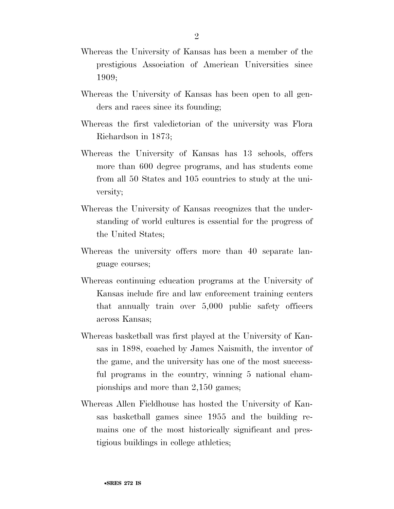- Whereas the University of Kansas has been a member of the prestigious Association of American Universities since 1909;
- Whereas the University of Kansas has been open to all genders and races since its founding;
- Whereas the first valedictorian of the university was Flora Richardson in 1873;
- Whereas the University of Kansas has 13 schools, offers more than 600 degree programs, and has students come from all 50 States and 105 countries to study at the university;
- Whereas the University of Kansas recognizes that the understanding of world cultures is essential for the progress of the United States;
- Whereas the university offers more than 40 separate language courses;
- Whereas continuing education programs at the University of Kansas include fire and law enforcement training centers that annually train over 5,000 public safety officers across Kansas;
- Whereas basketball was first played at the University of Kansas in 1898, coached by James Naismith, the inventor of the game, and the university has one of the most successful programs in the country, winning 5 national championships and more than 2,150 games;
- Whereas Allen Fieldhouse has hosted the University of Kansas basketball games since 1955 and the building remains one of the most historically significant and prestigious buildings in college athletics;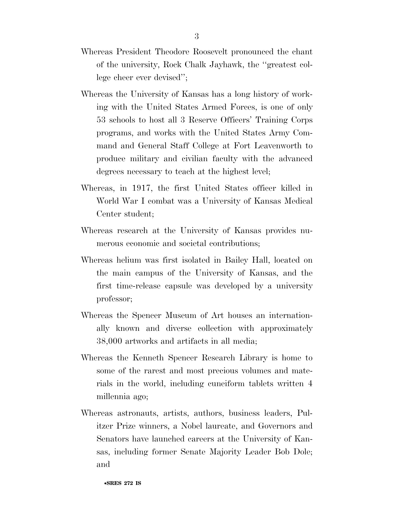- Whereas President Theodore Roosevelt pronounced the chant of the university, Rock Chalk Jayhawk, the ''greatest college cheer ever devised'';
- Whereas the University of Kansas has a long history of working with the United States Armed Forces, is one of only 53 schools to host all 3 Reserve Officers' Training Corps programs, and works with the United States Army Command and General Staff College at Fort Leavenworth to produce military and civilian faculty with the advanced degrees necessary to teach at the highest level;
- Whereas, in 1917, the first United States officer killed in World War I combat was a University of Kansas Medical Center student;
- Whereas research at the University of Kansas provides numerous economic and societal contributions;
- Whereas helium was first isolated in Bailey Hall, located on the main campus of the University of Kansas, and the first time-release capsule was developed by a university professor;
- Whereas the Spencer Museum of Art houses an internationally known and diverse collection with approximately 38,000 artworks and artifacts in all media;
- Whereas the Kenneth Spencer Research Library is home to some of the rarest and most precious volumes and materials in the world, including cuneiform tablets written 4 millennia ago;
- Whereas astronauts, artists, authors, business leaders, Pulitzer Prize winners, a Nobel laureate, and Governors and Senators have launched careers at the University of Kansas, including former Senate Majority Leader Bob Dole; and